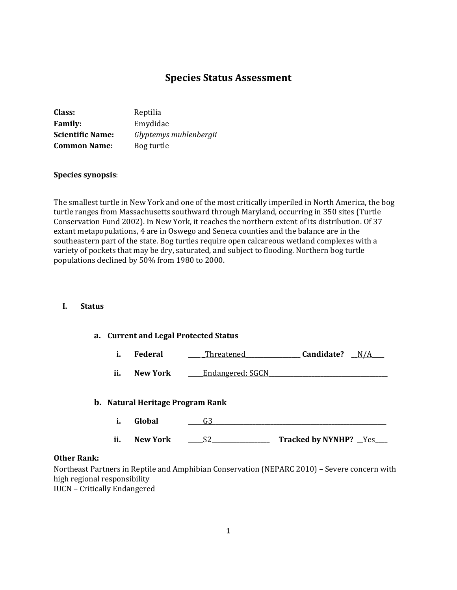# **Species Status Assessment**

| Class:                  | Reptilia               |
|-------------------------|------------------------|
| <b>Family:</b>          | Emydidae               |
| <b>Scientific Name:</b> | Glyptemys muhlenbergii |
| <b>Common Name:</b>     | Bog turtle             |

#### **Species synopsis**:

The smallest turtle in New York and one of the most critically imperiled in North America, the bog turtle ranges from Massachusetts southward through Maryland, occurring in 350 sites (Turtle Conservation Fund 2002). In New York, it reaches the northern extent of its distribution. Of 37 extant metapopulations, 4 are in Oswego and Seneca counties and the balance are in the southeastern part of the state. Bog turtles require open calcareous wetland complexes with a variety of pockets that may be dry, saturated, and subject to flooding. Northern bog turtle populations declined by 50% from 1980 to 2000.

### **I. Status**

## **a. Current and Legal Protected Status**

|  | Federal | Threatened | Candidate? | N / A |
|--|---------|------------|------------|-------|
|--|---------|------------|------------|-------|

**ii. New York \_\_\_\_**Endangered; SGCN

#### **b. Natural Heritage Program Rank**

|     | ∃lohal          |                                 |
|-----|-----------------|---------------------------------|
| ii. | <b>New York</b> | <b>Tracked by NYNHP?</b><br>Yes |

#### **Other Rank:**

Northeast Partners in Reptile and Amphibian Conservation (NEPARC 2010) – Severe concern with high regional responsibility IUCN – Critically Endangered

1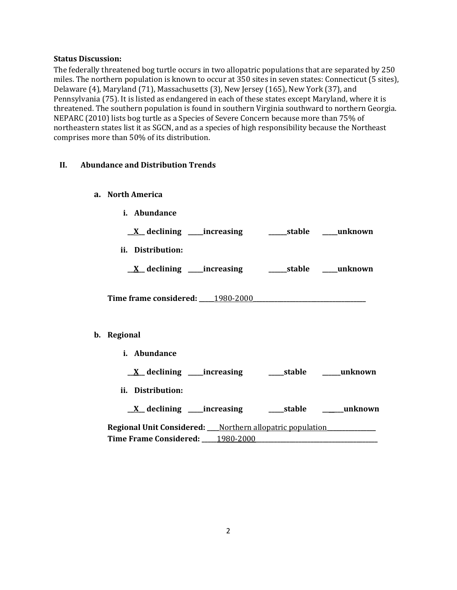### **Status Discussion:**

The federally threatened bog turtle occurs in two allopatric populations that are separated by 250 miles. The northern population is known to occur at 350 sites in seven states: Connecticut (5 sites), Delaware (4), Maryland (71), Massachusetts (3), New Jersey (165), New York (37), and Pennsylvania (75). It is listed as endangered in each of these states except Maryland, where it is threatened. The southern population is found in southern Virginia southward to northern Georgia. NEPARC (2010) lists bog turtle as a Species of Severe Concern because more than 75% of northeastern states list it as SGCN, and as a species of high responsibility because the Northeast comprises more than 50% of its distribution.

## **II. Abundance and Distribution Trends**

- **a. North America**
	- **i. Abundance**
	- **\_\_X\_\_ declining \_\_\_\_\_increasing \_\_\_\_\_\_stable \_\_\_\_\_unknown**
	- **ii. Distribution:**

**\_\_X\_\_ declining \_\_\_\_\_increasing \_\_\_\_\_\_stable \_\_\_\_\_unknown**

**Time frame considered: \_\_\_\_\_**1980-2000**\_\_\_\_\_\_\_\_\_\_\_\_\_\_\_\_\_\_\_\_\_\_\_\_\_\_\_\_\_\_\_\_\_\_\_\_\_**

## **b. Regional**

**i. Abundance**

**\_\_X\_\_ declining \_\_\_\_\_increasing \_\_\_\_\_stable \_\_\_\_\_\_unknown**

- **ii. Distribution:**
	- **\_\_X\_\_ declining \_\_\_\_\_increasing \_\_\_\_\_stable \_\_\_\_\_\_\_unknown**

**Regional Unit Considered: \_\_\_\_**Northern allopatric population**\_\_\_\_\_\_\_\_\_\_\_\_\_\_\_\_ Time Frame Considered: \_\_\_\_\_**1980-2000**\_\_\_\_\_\_\_\_\_\_\_\_\_\_\_\_\_\_\_\_\_\_\_\_\_\_\_\_\_\_\_\_\_\_\_\_\_\_\_\_**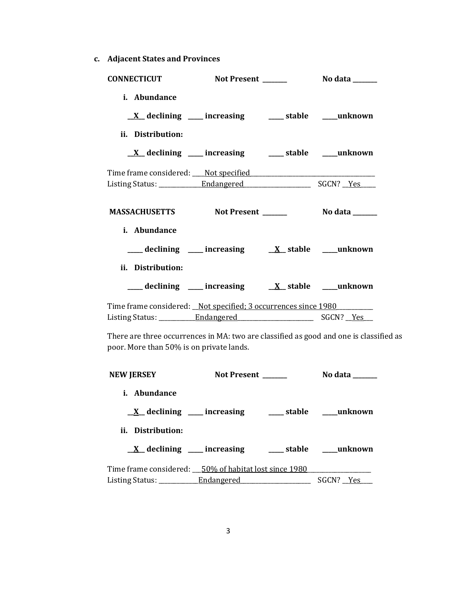**c. Adjacent States and Provinces**

| <b>CONNECTICUT</b>                                                                                                                 | Not Present ______                                              |                    | No data _______              |  |
|------------------------------------------------------------------------------------------------------------------------------------|-----------------------------------------------------------------|--------------------|------------------------------|--|
| i. Abundance                                                                                                                       |                                                                 |                    |                              |  |
|                                                                                                                                    | $\underline{X}$ declining ___ increasing ___ stable ___ unknown |                    |                              |  |
| ii. Distribution:                                                                                                                  |                                                                 |                    |                              |  |
|                                                                                                                                    | $\underline{X}$ declining ___ increasing ___ stable ___ unknown |                    |                              |  |
|                                                                                                                                    |                                                                 |                    |                              |  |
|                                                                                                                                    |                                                                 |                    |                              |  |
| MASSACHUSETTS Not Present ______                                                                                                   |                                                                 |                    | $\sim$ No data $\sim$ $\sim$ |  |
| i. Abundance                                                                                                                       |                                                                 |                    |                              |  |
|                                                                                                                                    | ___ declining ___ increasing ___ X_ stable ___ unknown          |                    |                              |  |
| ii. Distribution:                                                                                                                  |                                                                 |                    |                              |  |
|                                                                                                                                    | ___ declining ___ increasing ___ X_ stable ___ unknown          |                    |                              |  |
| Time frame considered: _Not specified; 3 occurrences since 1980                                                                    |                                                                 |                    |                              |  |
|                                                                                                                                    |                                                                 |                    |                              |  |
| There are three occurrences in MA: two are classified as good and one is classified as<br>poor. More than 50% is on private lands. |                                                                 |                    |                              |  |
| <b>NEW JERSEY</b>                                                                                                                  |                                                                 | Not Present ______ | No data ______               |  |

**i. Abundance \_\_X\_\_ declining \_\_\_\_\_ increasing \_\_\_\_\_ stable \_\_\_\_\_unknown ii. Distribution: \_\_X\_\_ declining \_\_\_\_\_ increasing \_\_\_\_\_ stable \_\_\_\_\_unknown** Time frame considered: \_\_\_50% of habitat lost since 1980\_\_\_\_\_\_\_\_\_\_\_\_\_\_\_\_\_\_\_\_\_\_\_\_ Listing Status: \_\_\_\_\_\_\_\_\_\_\_\_Endangered \_\_\_\_\_\_\_\_\_\_\_\_\_\_\_\_\_\_\_\_\_\_\_\_ SGCN? \_\_Yes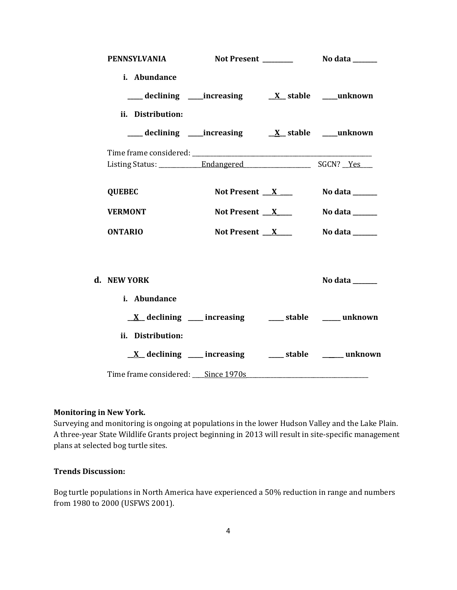| <b>PENNSYLVANIA</b>                                                  |                 |                |
|----------------------------------------------------------------------|-----------------|----------------|
| i. Abundance                                                         |                 |                |
|                                                                      |                 |                |
| ii. Distribution:                                                    |                 |                |
|                                                                      |                 |                |
|                                                                      |                 |                |
|                                                                      |                 |                |
| <b>QUEBEC</b>                                                        | Not Present $X$ | No data ______ |
| <b>VERMONT</b>                                                       | Not Present $X$ | No data ______ |
| <b>ONTARIO</b>                                                       | Not Present $X$ | No data ______ |
|                                                                      |                 |                |
| d. NEW YORK                                                          |                 | No data $\_\_$ |
| i. Abundance                                                         |                 |                |
| $\underline{X}$ declining ___ increasing ____ stable ____ unknown    |                 |                |
| ii. Distribution:                                                    |                 |                |
| $\underline{X}$ declining ____ increasing _____ stable _____ unknown |                 |                |
| Time frame considered: Since 1970s                                   |                 |                |

### **Monitoring in New York.**

Surveying and monitoring is ongoing at populations in the lower Hudson Valley and the Lake Plain. A three-year State Wildlife Grants project beginning in 2013 will result in site-specific management plans at selected bog turtle sites.

# **Trends Discussion:**

Bog turtle populations in North America have experienced a 50% reduction in range and numbers from 1980 to 2000 (USFWS 2001).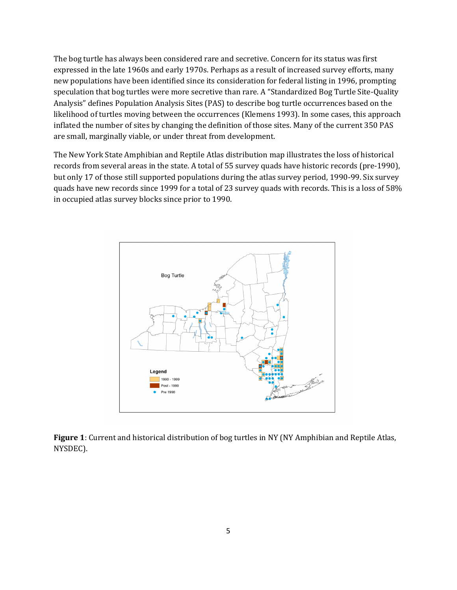The bog turtle has always been considered rare and secretive. Concern for its status was first expressed in the late 1960s and early 1970s. Perhaps as a result of increased survey efforts, many new populations have been identified since its consideration for federal listing in 1996, prompting speculation that bog turtles were more secretive than rare. A "Standardized Bog Turtle Site-Quality Analysis" defines Population Analysis Sites (PAS) to describe bog turtle occurrences based on the likelihood of turtles moving between the occurrences (Klemens 1993). In some cases, this approach inflated the number of sites by changing the definition of those sites. Many of the current 350 PAS are small, marginally viable, or under threat from development.

The New York State Amphibian and Reptile Atlas distribution map illustrates the loss of historical records from several areas in the state. A total of 55 survey quads have historic records (pre-1990), but only 17 of those still supported populations during the atlas survey period, 1990-99. Six survey quads have new records since 1999 for a total of 23 survey quads with records. This is a loss of 58% in occupied atlas survey blocks since prior to 1990.



**Figure 1**: Current and historical distribution of bog turtles in NY (NY Amphibian and Reptile Atlas, NYSDEC).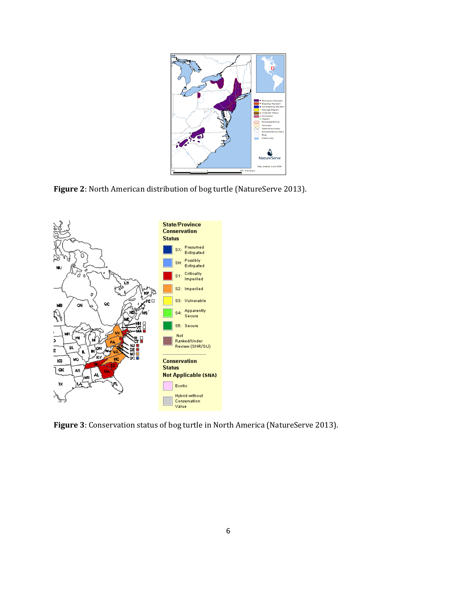

**Figure 2**: North American distribution of bog turtle (NatureServe 2013).



**Figure 3**: Conservation status of bog turtle in North America (NatureServe 2013).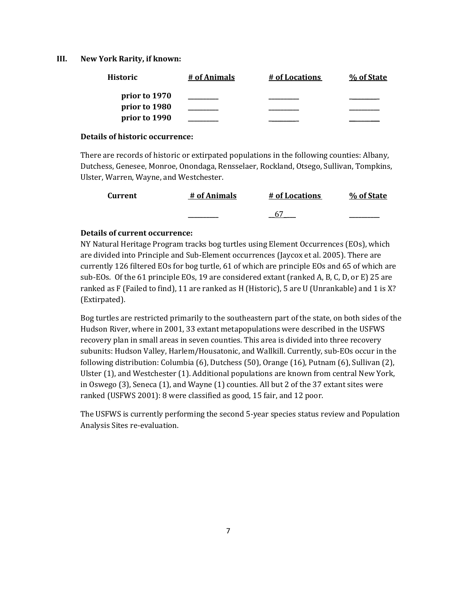#### **III. New York Rarity, if known:**

| Historic      | # of Animals | # of Locations | % of State |
|---------------|--------------|----------------|------------|
| prior to 1970 |              |                |            |
| prior to 1980 |              |                |            |
| prior to 1990 |              |                |            |

### **Details of historic occurrence:**

There are records of historic or extirpated populations in the following counties: Albany, Dutchess, Genesee, Monroe, Onondaga, Rensselaer, Rockland, Otsego, Sullivan, Tompkins, Ulster, Warren, Wayne, and Westchester.

| Current | # of Animals | # of Locations | % of State |
|---------|--------------|----------------|------------|
|         |              |                |            |

## **Details of current occurrence:**

NY Natural Heritage Program tracks bog turtles using Element Occurrences (EOs), which are divided into Principle and Sub-Element occurrences (Jaycox et al. 2005). There are currently 126 filtered EOs for bog turtle, 61 of which are principle EOs and 65 of which are sub-EOs. Of the 61 principle EOs, 19 are considered extant (ranked A, B, C, D, or E) 25 are ranked as F (Failed to find), 11 are ranked as H (Historic), 5 are U (Unrankable) and 1 is X? (Extirpated).

Bog turtles are restricted primarily to the southeastern part of the state, on both sides of the Hudson River, where in 2001, 33 extant metapopulations were described in the USFWS recovery plan in small areas in seven counties. This area is divided into three recovery subunits: Hudson Valley, Harlem/Housatonic, and Wallkill. Currently, sub-EOs occur in the following distribution: Columbia (6), Dutchess (50), Orange (16), Putnam (6), Sullivan (2), Ulster (1), and Westchester (1). Additional populations are known from central New York, in Oswego (3), Seneca (1), and Wayne (1) counties. All but 2 of the 37 extant sites were ranked (USFWS 2001): 8 were classified as good, 15 fair, and 12 poor.

The USFWS is currently performing the second 5-year species status review and Population Analysis Sites re-evaluation.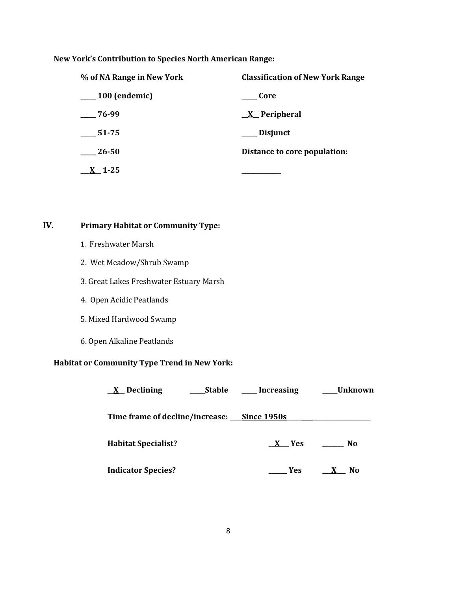**New York's Contribution to Species North American Range:**

| % of NA Range in New York    | <b>Classification of New York Range</b> |  |
|------------------------------|-----------------------------------------|--|
| <sub>___</sub> 100 (endemic) | – Core                                  |  |
| $-76-99$                     | $X$ Peripheral                          |  |
| 51-75                        | Disjunct                                |  |
| 26-50                        | Distance to core population:            |  |
| $X_1-25$                     |                                         |  |

**IV. Primary Habitat or Community Type:** 

- 1. Freshwater Marsh
- 2. Wet Meadow/Shrub Swamp
- 3. Great Lakes Freshwater Estuary Marsh
- 4. Open Acidic Peatlands
- 5. Mixed Hardwood Swamp
- 6. Open Alkaline Peatlands

# **Habitat or Community Type Trend in New York:**

| ____Stable<br>$X$ Declining                 | ____ Increasing | __Unknown           |
|---------------------------------------------|-----------------|---------------------|
| Time frame of decline/increase: Since 1950s |                 |                     |
| <b>Habitat Specialist?</b>                  | $X$ Yes         | No.                 |
| <b>Indicator Species?</b>                   | Yes             | X<br>N <sub>0</sub> |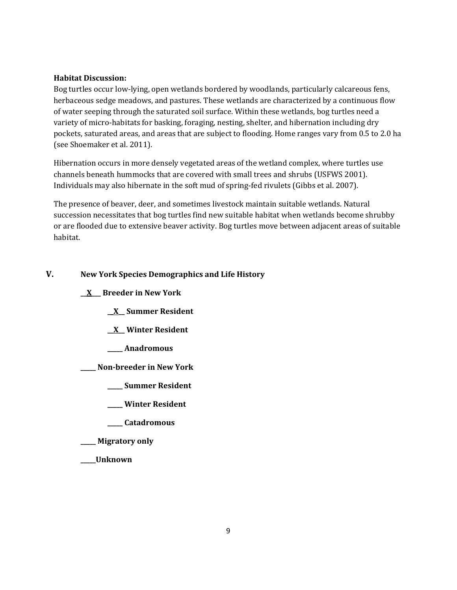## **Habitat Discussion:**

Bog turtles occur low-lying, open wetlands bordered by woodlands, particularly calcareous fens, herbaceous sedge meadows, and pastures. These wetlands are characterized by a continuous flow of water seeping through the saturated soil surface. Within these wetlands, bog turtles need a variety of micro-habitats for basking, foraging, nesting, shelter, and hibernation including dry pockets, saturated areas, and areas that are subject to flooding. Home ranges vary from 0.5 to 2.0 ha (see Shoemaker et al. 2011).

Hibernation occurs in more densely vegetated areas of the wetland complex, where turtles use channels beneath hummocks that are covered with small trees and shrubs (USFWS 2001). Individuals may also hibernate in the soft mud of spring-fed rivulets (Gibbs et al. 2007).

The presence of beaver, deer, and sometimes livestock maintain suitable wetlands. Natural succession necessitates that bog turtles find new suitable habitat when wetlands become shrubby or are flooded due to extensive beaver activity. Bog turtles move between adjacent areas of suitable habitat.

# **V. New York Species Demographics and Life History**

- **\_\_X\_\_\_ Breeder in New York**
	- **\_\_X\_\_ Summer Resident**
	- **\_\_X\_\_ Winter Resident**
	- **\_\_\_\_\_ Anadromous**
- **\_\_\_\_\_ Non-breeder in New York**
	- **\_\_\_\_\_ Summer Resident**
	- **\_\_\_\_\_ Winter Resident**
	- **\_\_\_\_\_ Catadromous**
- **\_\_\_\_\_ Migratory only**
- **\_\_\_\_\_Unknown**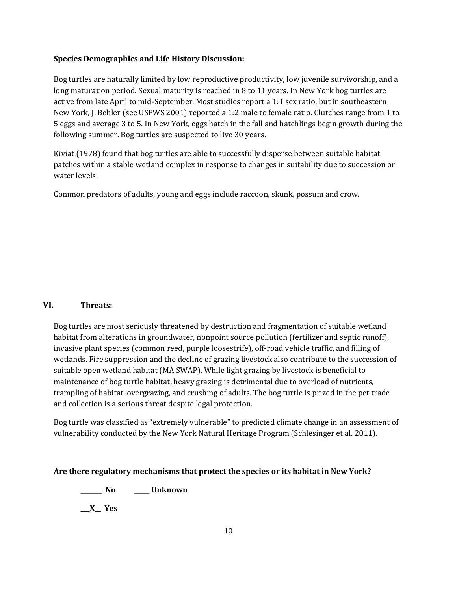## **Species Demographics and Life History Discussion:**

Bog turtles are naturally limited by low reproductive productivity, low juvenile survivorship, and a long maturation period. Sexual maturity is reached in 8 to 11 years. In New York bog turtles are active from late April to mid-September. Most studies report a 1:1 sex ratio, but in southeastern New York, J. Behler (see USFWS 2001) reported a 1:2 male to female ratio. Clutches range from 1 to 5 eggs and average 3 to 5. In New York, eggs hatch in the fall and hatchlings begin growth during the following summer. Bog turtles are suspected to live 30 years.

Kiviat (1978) found that bog turtles are able to successfully disperse between suitable habitat patches within a stable wetland complex in response to changes in suitability due to succession or water levels.

Common predators of adults, young and eggs include raccoon, skunk, possum and crow.

# **VI. Threats:**

Bog turtles are most seriously threatened by destruction and fragmentation of suitable wetland habitat from alterations in groundwater, nonpoint source pollution (fertilizer and septic runoff), invasive plant species (common reed, purple loosestrife), off-road vehicle traffic, and filling of wetlands. Fire suppression and the decline of grazing livestock also contribute to the succession of suitable open wetland habitat (MA SWAP). While light grazing by livestock is beneficial to maintenance of bog turtle habitat, heavy grazing is detrimental due to overload of nutrients, trampling of habitat, overgrazing, and crushing of adults. The bog turtle is prized in the pet trade and collection is a serious threat despite legal protection.

Bog turtle was classified as "extremely vulnerable" to predicted climate change in an assessment of vulnerability conducted by the New York Natural Heritage Program (Schlesinger et al. 2011).

## **Are there regulatory mechanisms that protect the species or its habitat in New York?**

**\_\_\_\_\_\_\_ No \_\_\_\_\_ Unknown**

**\_\_\_X\_\_ Yes**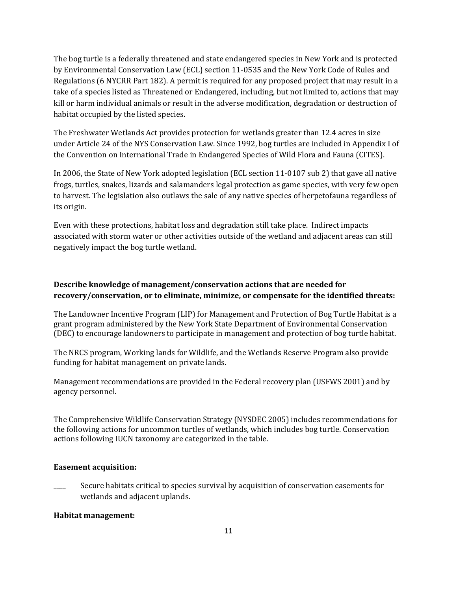The bog turtle is a federally threatened and state endangered species in New York and is protected by Environmental Conservation Law (ECL) section 11-0535 and the New York Code of Rules and Regulations (6 NYCRR Part 182). A permit is required for any proposed project that may result in a take of a species listed as Threatened or Endangered, including, but not limited to, actions that may kill or harm individual animals or result in the adverse modification, degradation or destruction of habitat occupied by the listed species.

The Freshwater Wetlands Act provides protection for wetlands greater than 12.4 acres in size under Article 24 of the NYS Conservation Law. Since 1992, bog turtles are included in Appendix I of the Convention on International Trade in Endangered Species of Wild Flora and Fauna (CITES).

In 2006, the State of New York adopted legislation (ECL section 11-0107 sub 2) that gave all native frogs, turtles, snakes, lizards and salamanders legal protection as game species, with very few open to harvest. The legislation also outlaws the sale of any native species of herpetofauna regardless of its origin.

Even with these protections, habitat loss and degradation still take place. Indirect impacts associated with storm water or other activities outside of the wetland and adjacent areas can still negatively impact the bog turtle wetland.

# **Describe knowledge of management/conservation actions that are needed for recovery/conservation, or to eliminate, minimize, or compensate for the identified threats:**

The Landowner Incentive Program (LIP) for Management and Protection of Bog Turtle Habitat is a grant program administered by the New York State Department of Environmental Conservation (DEC) to encourage landowners to participate in management and protection of bog turtle habitat.

The NRCS program, Working lands for Wildlife, and the Wetlands Reserve Program also provide funding for habitat management on private lands.

Management recommendations are provided in the Federal recovery plan (USFWS 2001) and by agency personnel.

The Comprehensive Wildlife Conservation Strategy (NYSDEC 2005) includes recommendations for the following actions for uncommon turtles of wetlands, which includes bog turtle. Conservation actions following IUCN taxonomy are categorized in the table.

# **Easement acquisition:**

Secure habitats critical to species survival by acquisition of conservation easements for wetlands and adjacent uplands.

## **Habitat management:**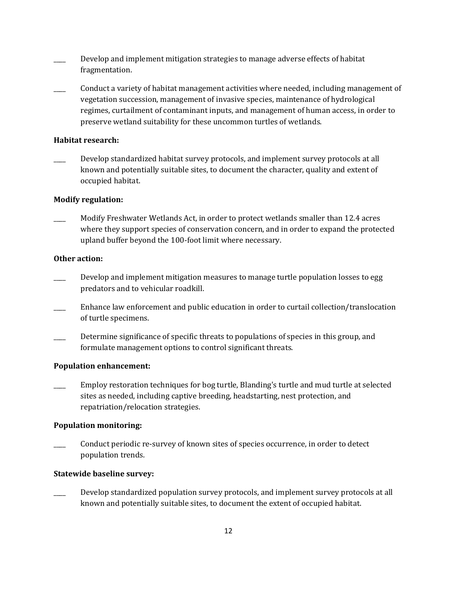- \_\_\_\_ Develop and implement mitigation strategies to manage adverse effects of habitat fragmentation.
- \_\_\_\_ Conduct a variety of habitat management activities where needed, including management of vegetation succession, management of invasive species, maintenance of hydrological regimes, curtailment of contaminant inputs, and management of human access, in order to preserve wetland suitability for these uncommon turtles of wetlands.

### **Habitat research:**

Develop standardized habitat survey protocols, and implement survey protocols at all known and potentially suitable sites, to document the character, quality and extent of occupied habitat.

### **Modify regulation:**

\_\_\_\_ Modify Freshwater Wetlands Act, in order to protect wetlands smaller than 12.4 acres where they support species of conservation concern, and in order to expand the protected upland buffer beyond the 100-foot limit where necessary.

### **Other action:**

- Develop and implement mitigation measures to manage turtle population losses to egg predators and to vehicular roadkill.
- \_\_\_\_ Enhance law enforcement and public education in order to curtail collection/translocation of turtle specimens.
- Determine significance of specific threats to populations of species in this group, and formulate management options to control significant threats.

#### **Population enhancement:**

\_\_\_\_ Employ restoration techniques for bog turtle, Blanding's turtle and mud turtle at selected sites as needed, including captive breeding, headstarting, nest protection, and repatriation/relocation strategies.

#### **Population monitoring:**

\_\_\_\_ Conduct periodic re-survey of known sites of species occurrence, in order to detect population trends.

#### **Statewide baseline survey:**

Develop standardized population survey protocols, and implement survey protocols at all known and potentially suitable sites, to document the extent of occupied habitat.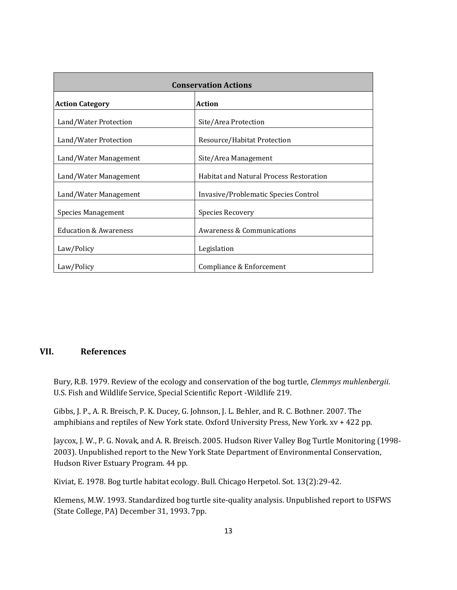| <b>Conservation Actions</b>             |                                                |  |
|-----------------------------------------|------------------------------------------------|--|
| <b>Action</b><br><b>Action Category</b> |                                                |  |
| Land/Water Protection                   | Site/Area Protection                           |  |
| Land/Water Protection                   | Resource/Habitat Protection                    |  |
| Land/Water Management                   | Site/Area Management                           |  |
| Land/Water Management                   | <b>Habitat and Natural Process Restoration</b> |  |
| Land/Water Management                   | Invasive/Problematic Species Control           |  |
| Species Management                      | <b>Species Recovery</b>                        |  |
| <b>Education &amp; Awareness</b>        | <b>Awareness &amp; Communications</b>          |  |
| Law/Policy                              | Legislation                                    |  |
| Law/Policy                              | Compliance & Enforcement                       |  |

## **VII. References**

Bury, R.B. 1979. Review of the ecology and conservation of the bog turtle, *Clemmys muhlenbergii*. U.S. Fish and Wildlife Service, Special Scientific Report -Wildlife 219.

Gibbs, J. P., A. R. Breisch, P. K. Ducey, G. Johnson, J. L. Behler, and R. C. Bothner. 2007. The amphibians and reptiles of New York state. Oxford University Press, New York. xv + 422 pp.

Jaycox, J. W., P. G. Novak, and A. R. Breisch. 2005. Hudson River Valley Bog Turtle Monitoring (1998- 2003). Unpublished report to the New York State Department of Environmental Conservation, Hudson River Estuary Program. 44 pp.

Kiviat, E. 1978. Bog turtle habitat ecology. Bull. Chicago Herpetol. Sot. 13(2):29-42.

Klemens, M.W. 1993. Standardized bog turtle site-quality analysis. Unpublished report to USFWS (State College, PA) December 31, 1993. 7pp.